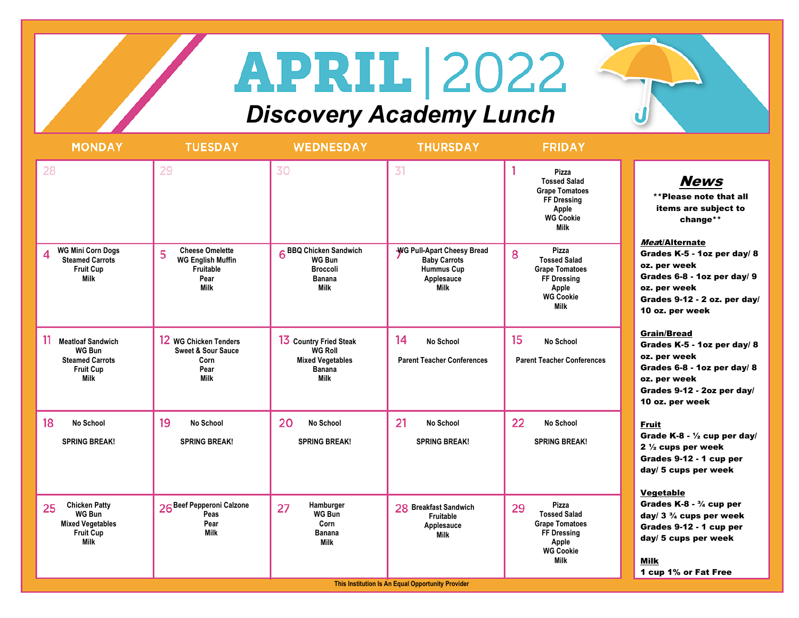## **APRIL 2022**

## *Discovery Academy Lunch*

| 31<br>28<br>29<br>30<br><b>Cheese Omelette</b><br>6 BBQ Chicken Sandwich<br>WG Pull-Apart Cheesy Bread<br>WG Mini Corn Dogs<br>5<br>8<br>4<br><b>Steamed Carrots</b><br><b>WG English Muffin</b><br>WG Bun<br><b>Baby Carrots</b><br><b>Hummus Cup</b><br><b>Fruit Cup</b><br>Fruitable<br><b>Broccoli</b>                                                                 | Pizza<br><b>News</b><br><b>Tossed Salad</b><br><b>Grape Tomatoes</b><br>**Please note that all<br>FF Dressing<br>items are subject to<br>Apple<br><b>WG Cookie</b><br>change**<br><b>Milk</b><br>Meat/Alternate<br>Pizza<br>Grades K-5 - 1oz per day/ 8<br><b>Tossed Salad</b><br>oz. per week<br><b>Grape Tomatoes</b> |
|----------------------------------------------------------------------------------------------------------------------------------------------------------------------------------------------------------------------------------------------------------------------------------------------------------------------------------------------------------------------------|-------------------------------------------------------------------------------------------------------------------------------------------------------------------------------------------------------------------------------------------------------------------------------------------------------------------------|
|                                                                                                                                                                                                                                                                                                                                                                            |                                                                                                                                                                                                                                                                                                                         |
| <b>Milk</b><br>Pear<br>Banana<br>Applesauce<br><b>Milk</b><br><b>Milk</b><br>Milk                                                                                                                                                                                                                                                                                          | Grades 6-8 - 1oz per day/ 9<br>FF Dressing<br>Apple<br>oz. per week<br><b>WG Cookie</b><br>Grades 9-12 - 2 oz. per day/<br><b>Milk</b><br>10 oz. per week                                                                                                                                                               |
| 14<br>15<br>11<br>12 WG Chicken Tenders<br>13 Country Fried Steak<br><b>Meatloaf Sandwich</b><br>No School<br><b>WG Bun</b><br><b>Sweet &amp; Sour Sauce</b><br><b>WG Roll</b><br><b>Steamed Carrots</b><br><b>Parent Teacher Conferences</b><br><b>Mixed Vegetables</b><br>Corn<br>Pear<br><b>Banana</b><br><b>Fruit Cup</b><br><b>Milk</b><br><b>Milk</b><br><b>Milk</b> | <b>Grain/Bread</b><br><b>No School</b><br>Grades K-5 - 1oz per day/ 8<br>oz. per week<br><b>Parent Teacher Conferences</b><br>Grades 6-8 - 1oz per day/ 8<br>oz. per week<br>Grades 9-12 - 2oz per day/<br>10 oz. per week                                                                                              |
| 22<br>21<br>18<br>19<br>20<br><b>No School</b><br>No School<br><b>No School</b><br>No School<br><b>SPRING BREAK!</b><br><b>SPRING BREAK!</b><br><b>SPRING BREAK!</b><br><b>SPRING BREAK!</b>                                                                                                                                                                               | No School<br><b>Fruit</b><br>Grade K-8 - $\frac{1}{2}$ cup per day/<br><b>SPRING BREAK!</b><br>2 $\frac{1}{2}$ cups per week<br>Grades 9-12 - 1 cup per<br>day/ 5 cups per week<br><b>Vegetable</b>                                                                                                                     |
| <b>Chicken Patty</b><br>26 Beef Pepperoni Calzone<br>Hamburger<br>25<br>27<br>28 Breakfast Sandwich<br>29<br><b>WG Bun</b><br>WG Bun<br>Peas<br>Fruitable<br><b>Mixed Vegetables</b><br>Pear<br>Corn<br>Applesauce<br><b>Fruit Cup</b><br><b>Milk</b><br>Banana<br><b>Milk</b><br><b>Milk</b><br><b>Milk</b><br>This Institution Is An Equal Opportunity Provider          | Grades $K-8 - \frac{3}{4}$ cup per<br>Pizza<br><b>Tossed Salad</b><br>day/ $3\frac{3}{4}$ cups per week<br><b>Grape Tomatoes</b><br>Grades 9-12 - 1 cup per<br>FF Dressing<br>day/ 5 cups per week<br>Apple<br><b>WG Cookie</b><br><b>Milk</b><br><b>Milk</b><br>1 cup 1% or Fat Free                                   |